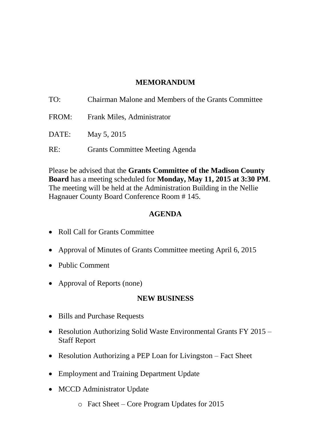# **MEMORANDUM**

| TO:   | Chairman Malone and Members of the Grants Committee |
|-------|-----------------------------------------------------|
| FROM: | Frank Miles, Administrator                          |
| DATE: | May 5, 2015                                         |
| RE:   | <b>Grants Committee Meeting Agenda</b>              |

Please be advised that the **Grants Committee of the Madison County Board** has a meeting scheduled for **Monday, May 11, 2015 at 3:30 PM**. The meeting will be held at the Administration Building in the Nellie Hagnauer County Board Conference Room # 145.

## **AGENDA**

- Roll Call for Grants Committee
- Approval of Minutes of Grants Committee meeting April 6, 2015
- Public Comment
- Approval of Reports (none)

# **NEW BUSINESS**

- Bills and Purchase Requests
- Resolution Authorizing Solid Waste Environmental Grants FY 2015 Staff Report
- Resolution Authorizing a PEP Loan for Livingston Fact Sheet
- Employment and Training Department Update
- MCCD Administrator Update
	- o Fact Sheet Core Program Updates for 2015